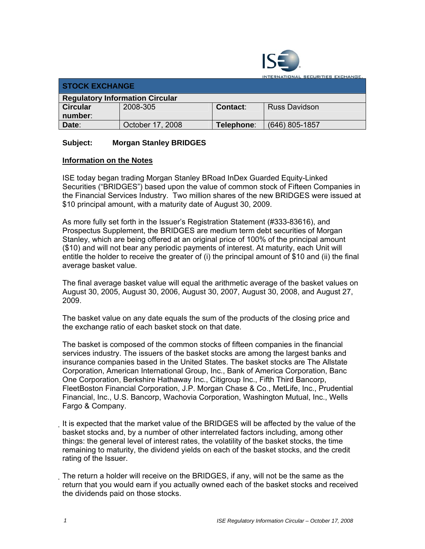

TIONAL SECURITIES EXCHANGE.

| <b>STOCK EXCHANGE</b>                  |                  |                 |                      |  |
|----------------------------------------|------------------|-----------------|----------------------|--|
| <b>Regulatory Information Circular</b> |                  |                 |                      |  |
| <b>Circular</b>                        | 2008-305         | <b>Contact:</b> | <b>Russ Davidson</b> |  |
| number:                                |                  |                 |                      |  |
| Date:                                  | October 17, 2008 | Telephone∶      | (646) 805-1857       |  |

## **Subject: Morgan Stanley BRIDGES**

## **Information on the Notes**

ISE today began trading Morgan Stanley BRoad InDex Guarded Equity-Linked Securities ("BRIDGES") based upon the value of common stock of Fifteen Companies in the Financial Services Industry. Two million shares of the new BRIDGES were issued at \$10 principal amount, with a maturity date of August 30, 2009.

As more fully set forth in the Issuer's Registration Statement (#333-83616), and Prospectus Supplement, the BRIDGES are medium term debt securities of Morgan Stanley, which are being offered at an original price of 100% of the principal amount (\$10) and will not bear any periodic payments of interest. At maturity, each Unit will entitle the holder to receive the greater of (i) the principal amount of \$10 and (ii) the final average basket value.

The final average basket value will equal the arithmetic average of the basket values on August 30, 2005, August 30, 2006, August 30, 2007, August 30, 2008, and August 27, 2009.

The basket value on any date equals the sum of the products of the closing price and the exchange ratio of each basket stock on that date.

The basket is composed of the common stocks of fifteen companies in the financial services industry. The issuers of the basket stocks are among the largest banks and insurance companies based in the United States. The basket stocks are The Allstate Corporation, American International Group, Inc., Bank of America Corporation, Banc One Corporation, Berkshire Hathaway Inc., Citigroup Inc., Fifth Third Bancorp, FleetBoston Financial Corporation, J.P. Morgan Chase & Co., MetLife, Inc., Prudential Financial, Inc., U.S. Bancorp, Wachovia Corporation, Washington Mutual, Inc., Wells Fargo & Company.

It is expected that the market value of the BRIDGES will be affected by the value of the basket stocks and, by a number of other interrelated factors including, among other things: the general level of interest rates, the volatility of the basket stocks, the time remaining to maturity, the dividend yields on each of the basket stocks, and the credit rating of the Issuer.

The return a holder will receive on the BRIDGES, if any, will not be the same as the return that you would earn if you actually owned each of the basket stocks and received the dividends paid on those stocks.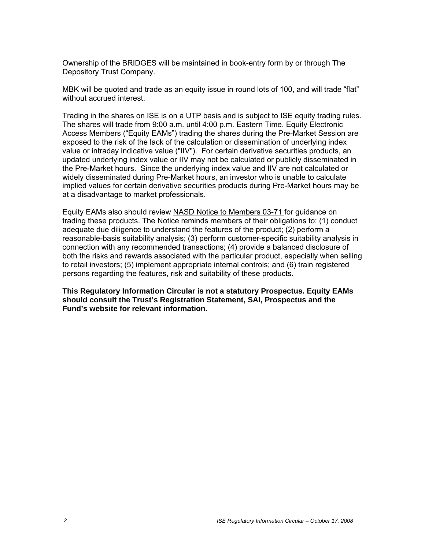Ownership of the BRIDGES will be maintained in book-entry form by or through The Depository Trust Company.

MBK will be quoted and trade as an equity issue in round lots of 100, and will trade "flat" without accrued interest.

Trading in the shares on ISE is on a UTP basis and is subject to ISE equity trading rules. The shares will trade from 9:00 a.m. until 4:00 p.m. Eastern Time. Equity Electronic Access Members ("Equity EAMs") trading the shares during the Pre-Market Session are exposed to the risk of the lack of the calculation or dissemination of underlying index value or intraday indicative value ("IIV"). For certain derivative securities products, an updated underlying index value or IIV may not be calculated or publicly disseminated in the Pre-Market hours. Since the underlying index value and IIV are not calculated or widely disseminated during Pre-Market hours, an investor who is unable to calculate implied values for certain derivative securities products during Pre-Market hours may be at a disadvantage to market professionals.

Equity EAMs also should review NASD Notice to Members 03-71 for guidance on trading these products. The Notice reminds members of their obligations to: (1) conduct adequate due diligence to understand the features of the product; (2) perform a reasonable-basis suitability analysis; (3) perform customer-specific suitability analysis in connection with any recommended transactions; (4) provide a balanced disclosure of both the risks and rewards associated with the particular product, especially when selling to retail investors; (5) implement appropriate internal controls; and (6) train registered persons regarding the features, risk and suitability of these products.

**This Regulatory Information Circular is not a statutory Prospectus. Equity EAMs should consult the Trust's Registration Statement, SAI, Prospectus and the Fund's website for relevant information.**